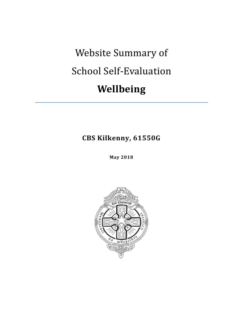# Website Summary of School Self-Evaluation **Wellbeing**

**CBS Kilkenny, 61550G**

**May 2018**

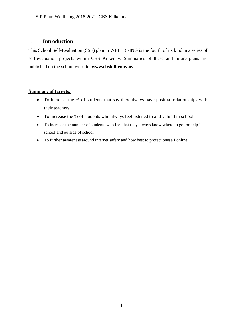# **1. Introduction**

This School Self-Evaluation (SSE) plan in WELLBEING is the fourth of its kind in a series of self-evaluation projects within CBS Kilkenny. Summaries of these and future plans are published on the school website, **www.cbskilkenny.ie.**

### **Summary of targets:**

- To increase the % of students that say they always have positive relationships with their teachers.
- To increase the % of students who always feel listened to and valued in school.
- To increase the number of students who feel that they always know where to go for help in school and outside of school
- To further awareness around internet safety and how best to protect oneself online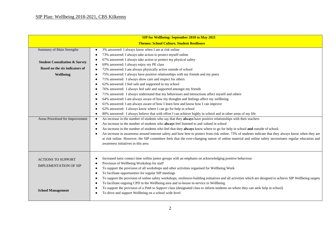| <b>Themes: School Culture, Student Resilience</b><br>3% answered: I always know when I am at risk online<br>Summary of Main Strengths<br>73% answered: I always take action to protect myself online<br>67% answered: I always take action to protect my physical safety<br><b>Student Consultation &amp; Survey</b><br>69% answered: I always enjoy my PE class<br>$\bullet$<br>Based on the six indicators of<br>72% answered: I am always physically active outside of school<br>$\bullet$<br>75% answered: I always have positive relationships with my friends and my peers<br>Wellbeing<br>71% answered: I always show care and respect for others<br>62% answered: I feel safe and supported in my school<br>76% answered: I always feel safe and supported amongst my friends<br>71% answered: I always understand that my behaviours and interactions affect myself and others<br>64% answered: I am always aware of how my thoughts and feelings affect my wellbeing<br>61% answered: I am always aware of how I learn best and know how I can improve<br>62% answered: I always know where I can go for help in school<br>$\bullet$<br>80% answered: I always believe that with effort I can achieve highly in school and in other areas of my life<br>$\bullet$ |  |  |  |
|-----------------------------------------------------------------------------------------------------------------------------------------------------------------------------------------------------------------------------------------------------------------------------------------------------------------------------------------------------------------------------------------------------------------------------------------------------------------------------------------------------------------------------------------------------------------------------------------------------------------------------------------------------------------------------------------------------------------------------------------------------------------------------------------------------------------------------------------------------------------------------------------------------------------------------------------------------------------------------------------------------------------------------------------------------------------------------------------------------------------------------------------------------------------------------------------------------------------------------------------------------------------------------|--|--|--|
|                                                                                                                                                                                                                                                                                                                                                                                                                                                                                                                                                                                                                                                                                                                                                                                                                                                                                                                                                                                                                                                                                                                                                                                                                                                                             |  |  |  |
|                                                                                                                                                                                                                                                                                                                                                                                                                                                                                                                                                                                                                                                                                                                                                                                                                                                                                                                                                                                                                                                                                                                                                                                                                                                                             |  |  |  |
|                                                                                                                                                                                                                                                                                                                                                                                                                                                                                                                                                                                                                                                                                                                                                                                                                                                                                                                                                                                                                                                                                                                                                                                                                                                                             |  |  |  |
|                                                                                                                                                                                                                                                                                                                                                                                                                                                                                                                                                                                                                                                                                                                                                                                                                                                                                                                                                                                                                                                                                                                                                                                                                                                                             |  |  |  |
|                                                                                                                                                                                                                                                                                                                                                                                                                                                                                                                                                                                                                                                                                                                                                                                                                                                                                                                                                                                                                                                                                                                                                                                                                                                                             |  |  |  |
|                                                                                                                                                                                                                                                                                                                                                                                                                                                                                                                                                                                                                                                                                                                                                                                                                                                                                                                                                                                                                                                                                                                                                                                                                                                                             |  |  |  |
|                                                                                                                                                                                                                                                                                                                                                                                                                                                                                                                                                                                                                                                                                                                                                                                                                                                                                                                                                                                                                                                                                                                                                                                                                                                                             |  |  |  |
|                                                                                                                                                                                                                                                                                                                                                                                                                                                                                                                                                                                                                                                                                                                                                                                                                                                                                                                                                                                                                                                                                                                                                                                                                                                                             |  |  |  |
|                                                                                                                                                                                                                                                                                                                                                                                                                                                                                                                                                                                                                                                                                                                                                                                                                                                                                                                                                                                                                                                                                                                                                                                                                                                                             |  |  |  |
|                                                                                                                                                                                                                                                                                                                                                                                                                                                                                                                                                                                                                                                                                                                                                                                                                                                                                                                                                                                                                                                                                                                                                                                                                                                                             |  |  |  |
|                                                                                                                                                                                                                                                                                                                                                                                                                                                                                                                                                                                                                                                                                                                                                                                                                                                                                                                                                                                                                                                                                                                                                                                                                                                                             |  |  |  |
|                                                                                                                                                                                                                                                                                                                                                                                                                                                                                                                                                                                                                                                                                                                                                                                                                                                                                                                                                                                                                                                                                                                                                                                                                                                                             |  |  |  |
|                                                                                                                                                                                                                                                                                                                                                                                                                                                                                                                                                                                                                                                                                                                                                                                                                                                                                                                                                                                                                                                                                                                                                                                                                                                                             |  |  |  |
|                                                                                                                                                                                                                                                                                                                                                                                                                                                                                                                                                                                                                                                                                                                                                                                                                                                                                                                                                                                                                                                                                                                                                                                                                                                                             |  |  |  |
| An increase in the number of students who say that they always have positive relationships with their teachers<br>Areas Prioritised for Improvement<br>$\bullet$                                                                                                                                                                                                                                                                                                                                                                                                                                                                                                                                                                                                                                                                                                                                                                                                                                                                                                                                                                                                                                                                                                            |  |  |  |
| An increase in the number of students who always feel listened to and valued in school                                                                                                                                                                                                                                                                                                                                                                                                                                                                                                                                                                                                                                                                                                                                                                                                                                                                                                                                                                                                                                                                                                                                                                                      |  |  |  |
| An increase in the number of students who feel that they always know where to go for help in school and outside of school.                                                                                                                                                                                                                                                                                                                                                                                                                                                                                                                                                                                                                                                                                                                                                                                                                                                                                                                                                                                                                                                                                                                                                  |  |  |  |
| An increase in awareness around internet safety and how best to protect from risk online. 73% of students indicate that they always know when they are                                                                                                                                                                                                                                                                                                                                                                                                                                                                                                                                                                                                                                                                                                                                                                                                                                                                                                                                                                                                                                                                                                                      |  |  |  |
| at risk online. However, the SIP committee feels that the ever-changing nature of online material and online safety necessitates regular education and                                                                                                                                                                                                                                                                                                                                                                                                                                                                                                                                                                                                                                                                                                                                                                                                                                                                                                                                                                                                                                                                                                                      |  |  |  |
| awareness initiatives in this area                                                                                                                                                                                                                                                                                                                                                                                                                                                                                                                                                                                                                                                                                                                                                                                                                                                                                                                                                                                                                                                                                                                                                                                                                                          |  |  |  |
|                                                                                                                                                                                                                                                                                                                                                                                                                                                                                                                                                                                                                                                                                                                                                                                                                                                                                                                                                                                                                                                                                                                                                                                                                                                                             |  |  |  |
|                                                                                                                                                                                                                                                                                                                                                                                                                                                                                                                                                                                                                                                                                                                                                                                                                                                                                                                                                                                                                                                                                                                                                                                                                                                                             |  |  |  |
| Increased tutor contact time within junior groups with an emphasis on acknowledging positive behaviour<br><b>ACTIONS TO SUPPORT</b><br>Provision of Wellbeing Workshop for staff                                                                                                                                                                                                                                                                                                                                                                                                                                                                                                                                                                                                                                                                                                                                                                                                                                                                                                                                                                                                                                                                                            |  |  |  |
| <b>IMPLEMENTATION OF SIP</b><br>To support the provision of all workshops and other activities organised for Wellbeing Week                                                                                                                                                                                                                                                                                                                                                                                                                                                                                                                                                                                                                                                                                                                                                                                                                                                                                                                                                                                                                                                                                                                                                 |  |  |  |
| To facilitate opportunities for regular SIP meetings                                                                                                                                                                                                                                                                                                                                                                                                                                                                                                                                                                                                                                                                                                                                                                                                                                                                                                                                                                                                                                                                                                                                                                                                                        |  |  |  |
| To support the provision of online safety workshops, resilience-building initiatives and all activities which are designed to achieve SIP Wellbeing targets                                                                                                                                                                                                                                                                                                                                                                                                                                                                                                                                                                                                                                                                                                                                                                                                                                                                                                                                                                                                                                                                                                                 |  |  |  |
| To facilitate ongoing CPD in the Wellbeing area and in-house in-service in Wellbeing                                                                                                                                                                                                                                                                                                                                                                                                                                                                                                                                                                                                                                                                                                                                                                                                                                                                                                                                                                                                                                                                                                                                                                                        |  |  |  |
| To support the provision of a Path to Support class (designated class to inform students on where they can seek help in school)                                                                                                                                                                                                                                                                                                                                                                                                                                                                                                                                                                                                                                                                                                                                                                                                                                                                                                                                                                                                                                                                                                                                             |  |  |  |
| <b>School Management</b><br>To drive and support Wellbeing on a school wide level                                                                                                                                                                                                                                                                                                                                                                                                                                                                                                                                                                                                                                                                                                                                                                                                                                                                                                                                                                                                                                                                                                                                                                                           |  |  |  |
|                                                                                                                                                                                                                                                                                                                                                                                                                                                                                                                                                                                                                                                                                                                                                                                                                                                                                                                                                                                                                                                                                                                                                                                                                                                                             |  |  |  |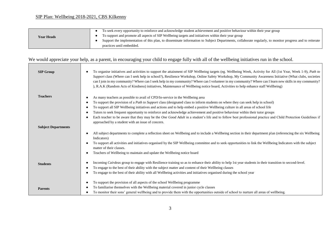|                   | To seek every opportunity to reinforce and acknowledge student achievement and positive behaviour within their year group                               |
|-------------------|---------------------------------------------------------------------------------------------------------------------------------------------------------|
| <b>Year Heads</b> | To support and promote all aspects of SIP Wellbeing targets and initiatives within their year group                                                     |
|                   | Support the implementation of this plan, to disseminate information to Subject Departments, collaborate regularly, to monitor progress and to reiterate |
|                   | practices until embedded.                                                                                                                               |

# We would appreciate your help, as a parent, in encouraging your child to engage fully with all of the wellbeing initiatives run in the school.

| <b>SIP Group</b>           | To organise initiatives and activities to support the attainment of SIP Wellbeing targets (eg. Wellbeing Week, Activity for All (1st Year, Week 1-9), Path to<br>Support class (Where can I seek help in school?), Resilience Workshop, Online Safety Workshop, My Community Awareness Initiative (What clubs, societies<br>can I join in my community? Where can I seek help in my community? Where can I volunteer in my community? Where can I learn new skills in my community?<br>), R.A.K (Random Acts of Kindness) initiatives, Maintenance of Wellbeing notice board, Activities to help enhance staff Wellbeing) |
|----------------------------|---------------------------------------------------------------------------------------------------------------------------------------------------------------------------------------------------------------------------------------------------------------------------------------------------------------------------------------------------------------------------------------------------------------------------------------------------------------------------------------------------------------------------------------------------------------------------------------------------------------------------|
| <b>Teachers</b>            | As many teachers as possible to avail of CPD/In-service in the Wellbeing area                                                                                                                                                                                                                                                                                                                                                                                                                                                                                                                                             |
|                            | To support the provision of a Path to Support class (designated class to inform students on where they can seek help in school)                                                                                                                                                                                                                                                                                                                                                                                                                                                                                           |
|                            | To support all SIP Wellbeing initiatives and actions and to help embed a positive Wellbeing culture in all areas of school life<br>٠                                                                                                                                                                                                                                                                                                                                                                                                                                                                                      |
|                            | Tutors to seek frequent opportunity to reinforce and acknowledge achievement and positive behaviour within their tutor groups<br>$\bullet$                                                                                                                                                                                                                                                                                                                                                                                                                                                                                |
|                            | Each teacher to be aware that they may be the One Good Adult in a student's life and to follow best professional practice and Child Protection Guidelines if<br>approached by a student with an issue of concern.                                                                                                                                                                                                                                                                                                                                                                                                         |
| <b>Subject Departments</b> |                                                                                                                                                                                                                                                                                                                                                                                                                                                                                                                                                                                                                           |
|                            | All subject departments to complete a reflection sheet on Wellbeing and to include a Wellbeing section in their department plan (referencing the six Wellbeing<br>$\bullet$<br>Indicators)                                                                                                                                                                                                                                                                                                                                                                                                                                |
|                            | To support all activities and initiatives organised by the SIP Wellbeing committee and to seek opportunities to link the Wellbeing Indicators with the subject<br>$\bullet$<br>matter of their classes.                                                                                                                                                                                                                                                                                                                                                                                                                   |
|                            | Teachers of Wellbeing to maintain and update the Wellbeing notice board<br>$\bullet$                                                                                                                                                                                                                                                                                                                                                                                                                                                                                                                                      |
| <b>Students</b>            | Incoming Cairdeas group to engage with Resilience training so as to enhance their ability to help 1st year students in their transition to second-level.<br>To engage to the best of their ability with the subject matter and content of their Wellbeing classes<br>$\bullet$                                                                                                                                                                                                                                                                                                                                            |
|                            | To engage to the best of their ability with all Wellbeing activities and initiatives organised during the school year                                                                                                                                                                                                                                                                                                                                                                                                                                                                                                     |
|                            | To support the provision of all aspects of the school Wellbeing programme<br>٠                                                                                                                                                                                                                                                                                                                                                                                                                                                                                                                                            |
| <b>Parents</b>             | To familiarise themselves with the Wellbeing material covered in junior cycle classes<br>٠                                                                                                                                                                                                                                                                                                                                                                                                                                                                                                                                |
|                            | To monitor their sons' general wellbeing and to provide them with the opportunities outside of school to nurture all areas of wellbeing.<br>٠                                                                                                                                                                                                                                                                                                                                                                                                                                                                             |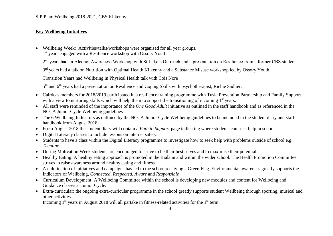#### SIP Plan: Wellbeing 2018-2021, CBS Kilkenny

#### **Key Wellbeing Initiatives**

- Wellbeing Week: Activities/talks/workshops were organised for all year groups.
- 1<sup>st</sup> years engaged with a Resilience workshop with Ossory Youth.

2<sup>nd</sup> years had an Alcohol Awareness Workshop with St Luke's Outreach and a presentation on Resilience from a former CBS student.

3<sup>rd</sup> years had a talk on Nutrition with Optimal Health Kilkenny and a Substance Misuse workshop led by Ossory Youth.

Transition Years had Wellbeing in Physical Health talk with Cois Nore

5<sup>th</sup> and 6<sup>th</sup> years had a presentation on Resilience and Coping Skills with psychotherapist, Richie Sadlier.

- Cairdeas members for 2018/2019 participated in a resilience training programme with Tusla Prevention Partnership and Family Support with a view to nurturing skills which will help them to support the transitioning of incoming 1<sup>st</sup> years.
- All staff were reminded of the importance of the *One Good Adult* initiative as outlined in the staff handbook and as referenced in the NCCA Junior Cycle Wellbeing guidelines
- The 6 Wellbeing Indicators as outlined by the NCCA Junior Cycle Wellbeing guidelines to be included in the student diary and staff handbook from August 2018
- From August 2018 the student diary will contain a *Path to Support* page indicating where students can seek help in school.
- Digital Literacy classes to include lessons on internet safety.
- Students to have a class within the Digital Literacy programme to investigate how to seek help with problems outside of school e.g. *Teenline.*
- During Motivation Week students are encouraged to strive to be their best selves and to maximise their potential.
- Healthy Eating: A healthy eating approach is promoted in the Bialann and within the wider school. The Health Promotion Committee strives to raise awareness around healthy eating and fitness.
- A culmination of initiatives and campaigns has led to the school receiving a Green Flag. Environmental awareness greatly supports the Indicators of Wellbeing, *Connected*, *Respected, Aware* and *Responsible*
- Curriculum Development: A Wellbeing Committee within the school is developing new modules and content for Wellbeing and Guidance classes at Junior Cycle.
- Extra-curricular: the ongoing extra-curricular programme in the school greatly supports student Wellbeing through sporting, musical and other activities.

Incoming  $1<sup>st</sup>$  years in August 2018 will all partake in fitness-related activities for the  $1<sup>st</sup>$  term.